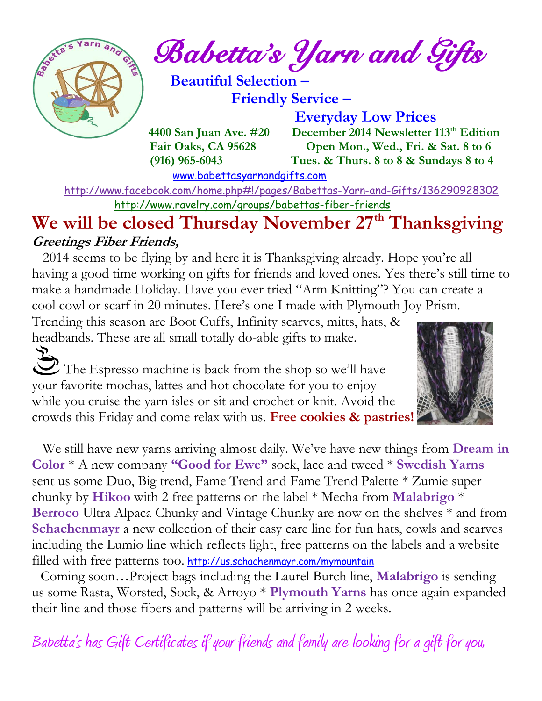

 $e^{\int e^{\arcsin(\pi/2-\pi/2)}}$  Babetta's Yarn and Gifts

 **Beautiful Selection – Friendly Service –**

 **Everyday Low Prices 4400 San Juan Ave. #20 December 2014 Newsletter 113<sup>th</sup> Edition Fair Oaks, CA 95628 Open Mon., Wed., Fri. & Sat. 8 to 6 (916) 965-6043 Tues. & Thurs. 8 to 8 & Sundays 8 to 4** 

[www.babettasyarnandgifts.com](http://www.babettasyarnandgifts.com/)

 <http://www.facebook.com/home.php#!/pages/Babettas-Yarn-and-Gifts/136290928302> <http://www.ravelry.com/groups/babettas-fiber-friends>

### **We will be closed Thursday November 27th Thanksgiving Greetings Fiber Friends,**

 2014 seems to be flying by and here it is Thanksgiving already. Hope you're all having a good time working on gifts for friends and loved ones. Yes there's still time to make a handmade Holiday. Have you ever tried "Arm Knitting"? You can create a cool cowl or scarf in 20 minutes. Here's one I made with Plymouth Joy Prism.

Trending this season are Boot Cuffs, Infinity scarves, mitts, hats, & headbands. These are all small totally do-able gifts to make.

The Espresso machine is back from the shop so we'll have your favorite mochas, lattes and hot chocolate for you to enjoy while you cruise the yarn isles or sit and crochet or knit. Avoid the crowds this Friday and come relax with us. **Free cookies & pastries!**



 We still have new yarns arriving almost daily. We've have new things from **Dream in Color** \* A new company **"Good for Ewe"** sock, lace and tweed \* **Swedish Yarns** sent us some Duo, Big trend, Fame Trend and Fame Trend Palette \* Zumie super chunky by **Hikoo** with 2 free patterns on the label \* Mecha from **Malabrigo** \* **Berroco** Ultra Alpaca Chunky and Vintage Chunky are now on the shelves \* and from **Schachenmayr** a new collection of their easy care line for fun hats, cowls and scarves including the Lumio line which reflects light, free patterns on the labels and a website filled with free patterns too. <http://us.schachenmayr.com/mymountain>

 Coming soon…Project bags including the Laurel Burch line, **Malabrigo** is sending us some Rasta, Worsted, Sock, & Arroyo \* **Plymouth Yarns** has once again expanded their line and those fibers and patterns will be arriving in 2 weeks.

Babetta's has Gift Certificates if your friends and family are looking for a gift for you.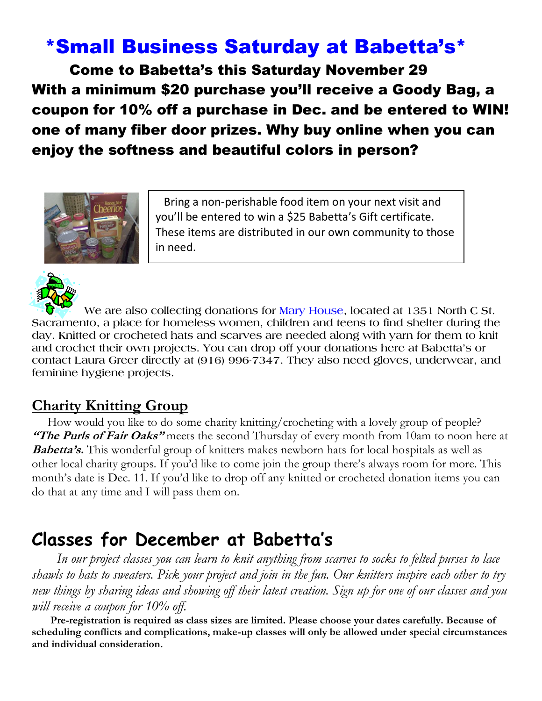# \*Small Business Saturday at Babetta's\*

 Come to Babetta's this Saturday November 29 With a minimum \$20 purchase you'll receive a Goody Bag, a coupon for 10% off a purchase in Dec. and be entered to WIN! one of many fiber door prizes. Why buy online when you can enjoy the softness and beautiful colors in person?



 Bring a non-perishable food item on your next visit and you'll be entered to win a \$25 Babetta's Gift certificate. These items are distributed in our own community to those in need.



 **We are also collecting donations for Mary House, located at 1351 North C St. Sacramento, a place for homeless women, children and teens to find shelter during the day. Knitted or crocheted hats and scarves are needed along with yarn for them to knit and crochet their own projects. You can drop off your donations here at Babetta's or contact Laura Greer directly at (916) 996-7347. They also need gloves, underwear, and feminine hygiene projects.**

### **Charity Knitting Group**

 How would you like to do some charity knitting/crocheting with a lovely group of people? **"The Purls of Fair Oaks"** meets the second Thursday of every month from 10am to noon here at **Babetta's.** This wonderful group of knitters makes newborn hats for local hospitals as well as other local charity groups. If you'd like to come join the group there's always room for more. This month's date is Dec. 11. If you'd like to drop off any knitted or crocheted donation items you can do that at any time and I will pass them on.

# **Classes for December at Babetta's**

 *In our project classes you can learn to knit anything from scarves to socks to felted purses to lace shawls to hats to sweaters. Pick your project and join in the fun. Our knitters inspire each other to try new things by sharing ideas and showing off their latest creation. Sign up for one of our classes and you will receive a coupon for 10% off.*

 **Pre-registration is required as class sizes are limited. Please choose your dates carefully. Because of scheduling conflicts and complications, make-up classes will only be allowed under special circumstances and individual consideration.**